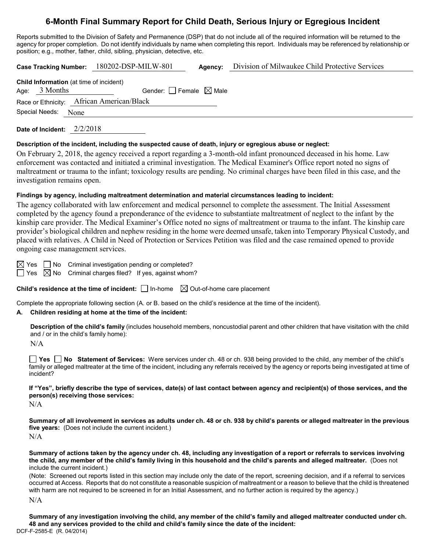# **6-Month Final Summary Report for Child Death, Serious Injury or Egregious Incident**

Reports submitted to the Division of Safety and Permanence (DSP) that do not include all of the required information will be returned to the agency for proper completion. Do not identify individuals by name when completing this report. Individuals may be referenced by relationship or position; e.g., mother, father, child, sibling, physician, detective, etc.

|                     | Case Tracking Number: 180202-DSP-MILW-801                                  | Agency: | Division of Milwaukee Child Protective Services |
|---------------------|----------------------------------------------------------------------------|---------|-------------------------------------------------|
| Age: $3$ Months     | Child Information (at time of incident)<br>Gender: Female $\boxtimes$ Male |         |                                                 |
|                     | Race or Ethnicity: African American/Black                                  |         |                                                 |
| Special Needs: None |                                                                            |         |                                                 |
|                     |                                                                            |         |                                                 |

**Date of Incident:** 2/2/2018

#### **Description of the incident, including the suspected cause of death, injury or egregious abuse or neglect:**

On February 2, 2018, the agency received a report regarding a 3-month-old infant pronounced deceased in his home. Law enforcement was contacted and initiated a criminal investigation. The Medical Examiner's Office report noted no signs of maltreatment or trauma to the infant; toxicology results are pending. No criminal charges have been filed in this case, and the investigation remains open.

#### **Findings by agency, including maltreatment determination and material circumstances leading to incident:**

The agency collaborated with law enforcement and medical personnel to complete the assessment. The Initial Assessment completed by the agency found a preponderance of the evidence to substantiate maltreatment of neglect to the infant by the kinship care provider. The Medical Examiner's Office noted no signs of maltreatment or trauma to the infant. The kinship care provider's biological children and nephew residing in the home were deemed unsafe, taken into Temporary Physical Custody, and placed with relatives. A Child in Need of Protection or Services Petition was filed and the case remained opened to provide ongoing case management services.

 $\boxtimes$  Yes  $\Box$  No Criminal investigation pending or completed?

 $\Box$  Yes  $\boxtimes$  No Criminal charges filed? If yes, against whom?

**Child's residence at the time of incident:**  $\Box$  In-home  $\Box$  Out-of-home care placement

Complete the appropriate following section (A. or B. based on the child's residence at the time of the incident).

## **A. Children residing at home at the time of the incident:**

**Description of the child's family** (includes household members, noncustodial parent and other children that have visitation with the child and / or in the child's family home):

N/A

**Yes No Statement of Services:** Were services under ch. 48 or ch. 938 being provided to the child, any member of the child's family or alleged maltreater at the time of the incident, including any referrals received by the agency or reports being investigated at time of incident?

**If "Yes", briefly describe the type of services, date(s) of last contact between agency and recipient(s) of those services, and the person(s) receiving those services:**

 $N/A$ 

**Summary of all involvement in services as adults under ch. 48 or ch. 938 by child's parents or alleged maltreater in the previous five years:** (Does not include the current incident.) N/A

**Summary of actions taken by the agency under ch. 48, including any investigation of a report or referrals to services involving the child, any member of the child's family living in this household and the child's parents and alleged maltreater.** (Does not include the current incident.)

(Note: Screened out reports listed in this section may include only the date of the report, screening decision, and if a referral to services occurred at Access. Reports that do not constitute a reasonable suspicion of maltreatment or a reason to believe that the child is threatened with harm are not required to be screened in for an Initial Assessment, and no further action is required by the agency.)

N/A

DCF-F-2585-E (R. 04/2014) **Summary of any investigation involving the child, any member of the child's family and alleged maltreater conducted under ch. 48 and any services provided to the child and child's family since the date of the incident:**